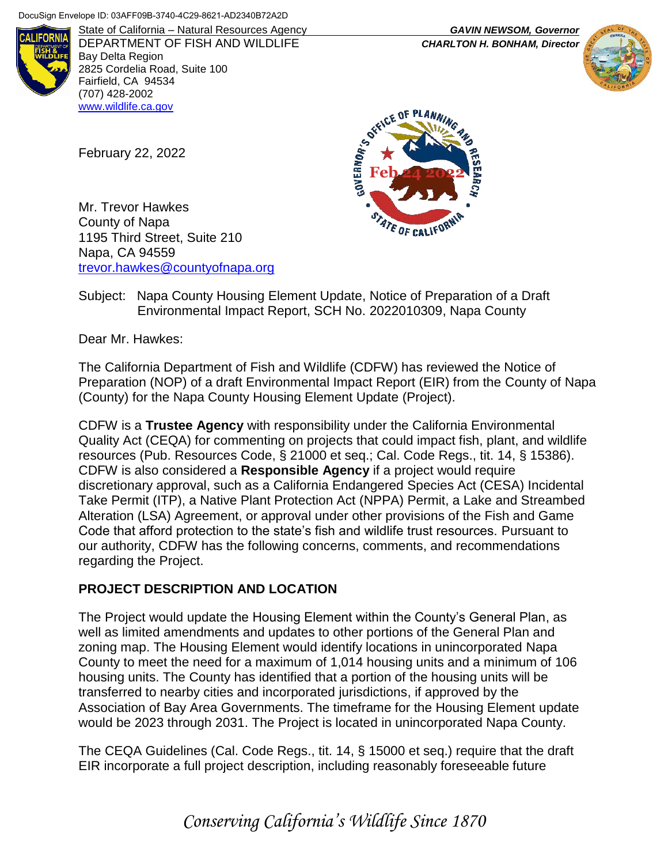

DEPARTMENT OF FISH AND WILDLIFE *CHARLTON H. BONHAM, Director* Bay Delta Region 2825 Cordelia Road, Suite 100 Fairfield, CA 94534 (707) 428-2002 [www.wildlife.ca.gov](http://www.wildlife.ca.gov/)

State of California – Natural Resources Agency *GAVIN NEWSOM, Governor*



February 22, 2022

Mr. Trevor Hawkes County of Napa 1195 Third Street, Suite 210 Napa, CA 94559 [trevor.hawkes@countyofnapa.org](mailto:envplanning@marincounty.org)



#### Subject: Napa County Housing Element Update, Notice of Preparation of a Draft Environmental Impact Report, SCH No. 2022010309, Napa County

Dear Mr. Hawkes:

The California Department of Fish and Wildlife (CDFW) has reviewed the Notice of Preparation (NOP) of a draft Environmental Impact Report (EIR) from the County of Napa (County) for the Napa County Housing Element Update (Project).

CDFW is a **Trustee Agency** with responsibility under the California Environmental Quality Act (CEQA) for commenting on projects that could impact fish, plant, and wildlife resources (Pub. Resources Code, § 21000 et seq.; Cal. Code Regs., tit. 14, § 15386). CDFW is also considered a **Responsible Agency** if a project would require discretionary approval, such as a California Endangered Species Act (CESA) Incidental Take Permit (ITP), a Native Plant Protection Act (NPPA) Permit, a Lake and Streambed Alteration (LSA) Agreement, or approval under other provisions of the Fish and Game Code that afford protection to the state's fish and wildlife trust resources. Pursuant to our authority, CDFW has the following concerns, comments, and recommendations regarding the Project.

## **PROJECT DESCRIPTION AND LOCATION**

The Project would update the Housing Element within the County's General Plan, as well as limited amendments and updates to other portions of the General Plan and zoning map. The Housing Element would identify locations in unincorporated Napa County to meet the need for a maximum of 1,014 housing units and a minimum of 106 housing units. The County has identified that a portion of the housing units will be transferred to nearby cities and incorporated jurisdictions, if approved by the Association of Bay Area Governments. The timeframe for the Housing Element update would be 2023 through 2031. The Project is located in unincorporated Napa County.

The CEQA Guidelines (Cal. Code Regs., tit. 14, § 15000 et seq.) require that the draft EIR incorporate a full project description, including reasonably foreseeable future

*Conserving California's Wildlife Since 1870*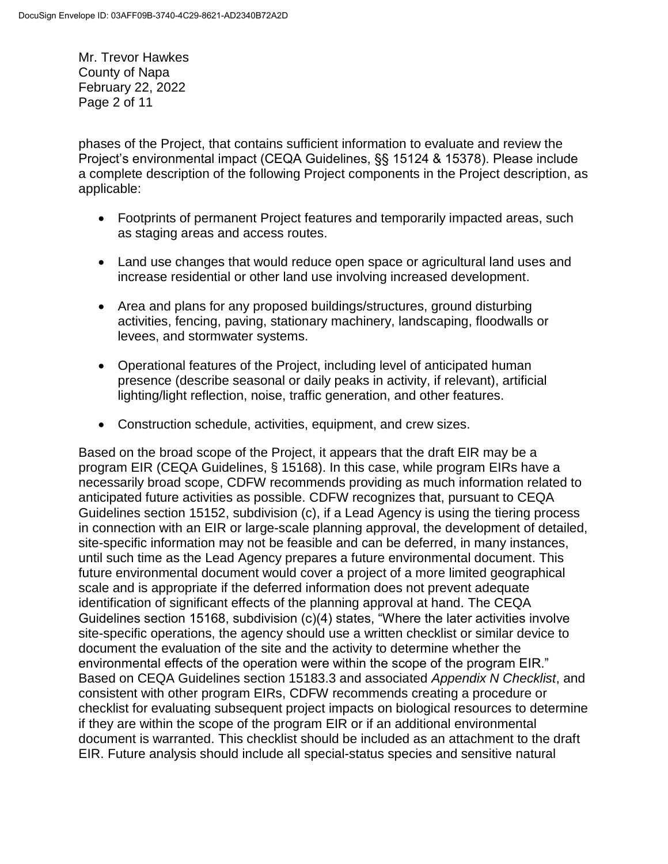Mr. Trevor Hawkes County of Napa February 22, 2022 Page 2 of 11

phases of the Project, that contains sufficient information to evaluate and review the Project's environmental impact (CEQA Guidelines, §§ 15124 & 15378). Please include a complete description of the following Project components in the Project description, as applicable:

- Footprints of permanent Project features and temporarily impacted areas, such as staging areas and access routes.
- Land use changes that would reduce open space or agricultural land uses and increase residential or other land use involving increased development.
- Area and plans for any proposed buildings/structures, ground disturbing activities, fencing, paving, stationary machinery, landscaping, floodwalls or levees, and stormwater systems.
- Operational features of the Project, including level of anticipated human presence (describe seasonal or daily peaks in activity, if relevant), artificial lighting/light reflection, noise, traffic generation, and other features.
- Construction schedule, activities, equipment, and crew sizes.

Based on the broad scope of the Project, it appears that the draft EIR may be a program EIR (CEQA Guidelines, § 15168). In this case, while program EIRs have a necessarily broad scope, CDFW recommends providing as much information related to anticipated future activities as possible. CDFW recognizes that, pursuant to CEQA Guidelines section 15152, subdivision (c), if a Lead Agency is using the tiering process in connection with an EIR or large-scale planning approval, the development of detailed, site-specific information may not be feasible and can be deferred, in many instances, until such time as the Lead Agency prepares a future environmental document. This future environmental document would cover a project of a more limited geographical scale and is appropriate if the deferred information does not prevent adequate identification of significant effects of the planning approval at hand. The CEQA Guidelines section 15168, subdivision (c)(4) states, "Where the later activities involve site-specific operations, the agency should use a written checklist or similar device to document the evaluation of the site and the activity to determine whether the environmental effects of the operation were within the scope of the program EIR." Based on CEQA Guidelines section 15183.3 and associated *Appendix N Checklist*, and consistent with other program EIRs, CDFW recommends creating a procedure or checklist for evaluating subsequent project impacts on biological resources to determine if they are within the scope of the program EIR or if an additional environmental document is warranted. This checklist should be included as an attachment to the draft EIR. Future analysis should include all special-status species and sensitive natural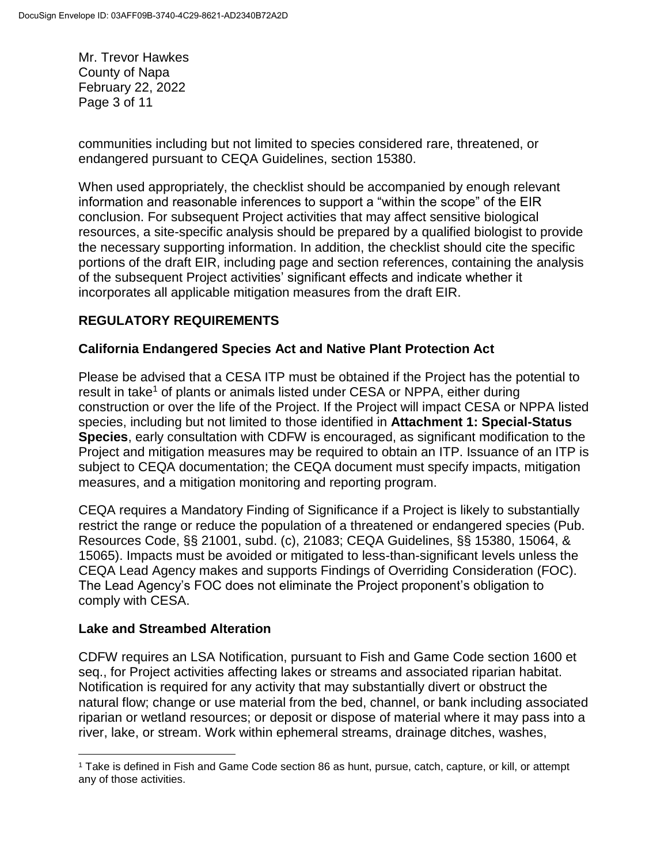Mr. Trevor Hawkes County of Napa February 22, 2022 Page 3 of 11

communities including but not limited to species considered rare, threatened, or endangered pursuant to CEQA Guidelines, section 15380.

When used appropriately, the checklist should be accompanied by enough relevant information and reasonable inferences to support a "within the scope" of the EIR conclusion. For subsequent Project activities that may affect sensitive biological resources, a site-specific analysis should be prepared by a qualified biologist to provide the necessary supporting information. In addition, the checklist should cite the specific portions of the draft EIR, including page and section references, containing the analysis of the subsequent Project activities' significant effects and indicate whether it incorporates all applicable mitigation measures from the draft EIR.

# **REGULATORY REQUIREMENTS**

### **California Endangered Species Act and Native Plant Protection Act**

Please be advised that a CESA ITP must be obtained if the Project has the potential to result in take<sup>1</sup> of plants or animals listed under CESA or NPPA, either during construction or over the life of the Project. If the Project will impact CESA or NPPA listed species, including but not limited to those identified in **Attachment 1: Special-Status Species**, early consultation with CDFW is encouraged, as significant modification to the Project and mitigation measures may be required to obtain an ITP. Issuance of an ITP is subject to CEQA documentation; the CEQA document must specify impacts, mitigation measures, and a mitigation monitoring and reporting program.

CEQA requires a Mandatory Finding of Significance if a Project is likely to substantially restrict the range or reduce the population of a threatened or endangered species (Pub. Resources Code, §§ 21001, subd. (c), 21083; CEQA Guidelines, §§ 15380, 15064, & 15065). Impacts must be avoided or mitigated to less-than-significant levels unless the CEQA Lead Agency makes and supports Findings of Overriding Consideration (FOC). The Lead Agency's FOC does not eliminate the Project proponent's obligation to comply with CESA.

#### **Lake and Streambed Alteration**

 $\overline{a}$ 

CDFW requires an LSA Notification, pursuant to Fish and Game Code section 1600 et seq., for Project activities affecting lakes or streams and associated riparian habitat. Notification is required for any activity that may substantially divert or obstruct the natural flow; change or use material from the bed, channel, or bank including associated riparian or wetland resources; or deposit or dispose of material where it may pass into a river, lake, or stream. Work within ephemeral streams, drainage ditches, washes,

<sup>1</sup> Take is defined in Fish and Game Code section 86 as hunt, pursue, catch, capture, or kill, or attempt any of those activities.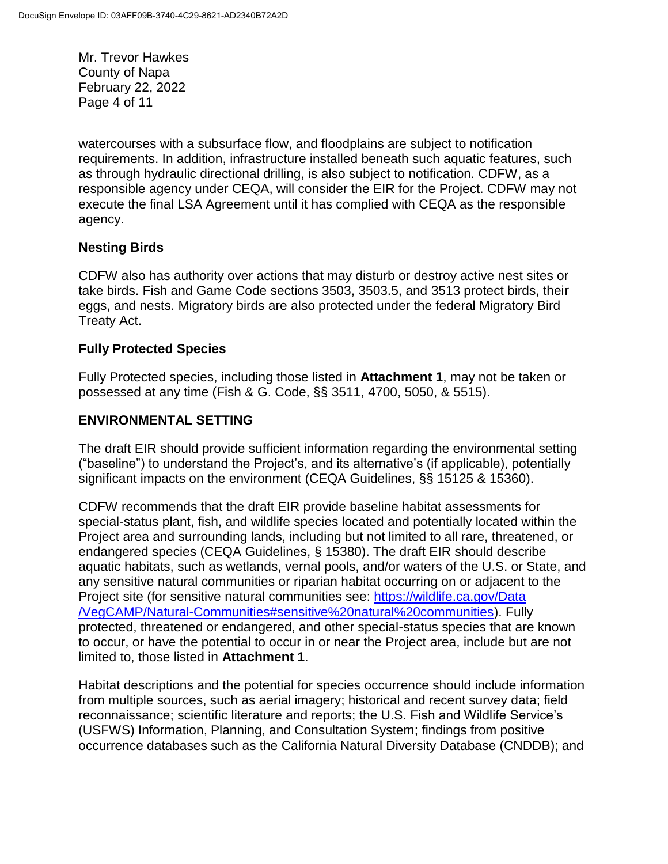Mr. Trevor Hawkes County of Napa February 22, 2022 Page 4 of 11

watercourses with a subsurface flow, and floodplains are subject to notification requirements. In addition, infrastructure installed beneath such aquatic features, such as through hydraulic directional drilling, is also subject to notification. CDFW, as a responsible agency under CEQA, will consider the EIR for the Project. CDFW may not execute the final LSA Agreement until it has complied with CEQA as the responsible agency.

## **Nesting Birds**

CDFW also has authority over actions that may disturb or destroy active nest sites or take birds. Fish and Game Code sections 3503, 3503.5, and 3513 protect birds, their eggs, and nests. Migratory birds are also protected under the federal Migratory Bird Treaty Act.

### **Fully Protected Species**

Fully Protected species, including those listed in **Attachment 1**, may not be taken or possessed at any time (Fish & G. Code, §§ 3511, 4700, 5050, & 5515).

## **ENVIRONMENTAL SETTING**

The draft EIR should provide sufficient information regarding the environmental setting ("baseline") to understand the Project's, and its alternative's (if applicable), potentially significant impacts on the environment (CEQA Guidelines, §§ 15125 & 15360).

CDFW recommends that the draft EIR provide baseline habitat assessments for special-status plant, fish, and wildlife species located and potentially located within the Project area and surrounding lands, including but not limited to all rare, threatened, or endangered species (CEQA Guidelines, § 15380). The draft EIR should describe aquatic habitats, such as wetlands, vernal pools, and/or waters of the U.S. or State, and any sensitive natural communities or riparian habitat occurring on or adjacent to the Project site (for sensitive natural communities see: [https://wildlife.ca.gov/Data](https://wildlife.ca.gov/Data/VegCAMP/Natural-Communities#sensitive%20natural%20communities) [/VegCAMP/Natural-Communities#sensitive%20natural%20communities\)](https://wildlife.ca.gov/Data/VegCAMP/Natural-Communities#sensitive%20natural%20communities). Fully protected, threatened or endangered, and other special-status species that are known to occur, or have the potential to occur in or near the Project area, include but are not limited to, those listed in **Attachment 1**.

Habitat descriptions and the potential for species occurrence should include information from multiple sources, such as aerial imagery; historical and recent survey data; field reconnaissance; scientific literature and reports; the U.S. Fish and Wildlife Service's (USFWS) Information, Planning, and Consultation System; findings from positive occurrence databases such as the California Natural Diversity Database (CNDDB); and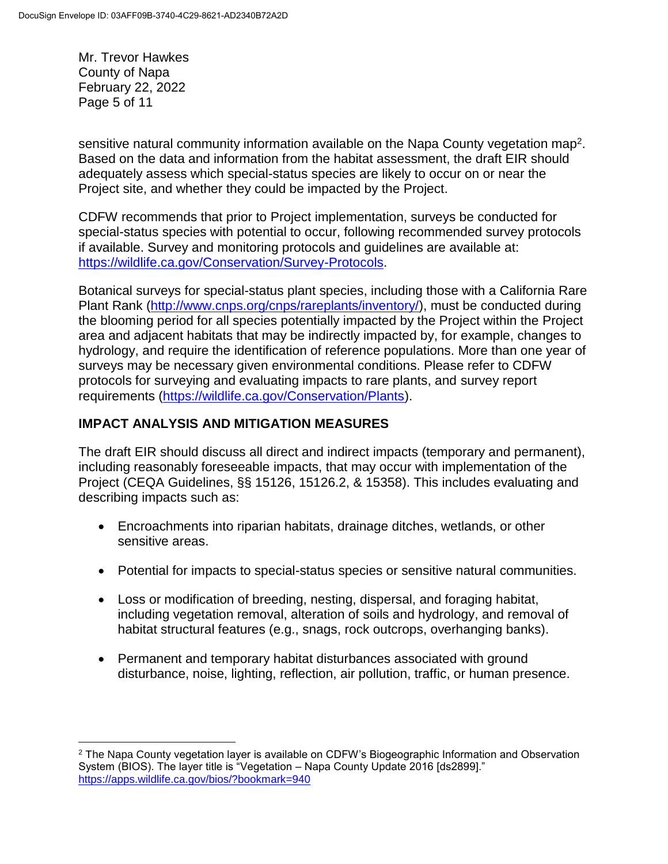Mr. Trevor Hawkes County of Napa February 22, 2022 Page 5 of 11

sensitive natural community information available on the Napa County vegetation map<sup>2</sup>. Based on the data and information from the habitat assessment, the draft EIR should adequately assess which special-status species are likely to occur on or near the Project site, and whether they could be impacted by the Project.

CDFW recommends that prior to Project implementation, surveys be conducted for special-status species with potential to occur, following recommended survey protocols if available. Survey and monitoring protocols and guidelines are available at: [https://wildlife.ca.gov/Conservation/Survey-Protocols.](https://wildlife.ca.gov/Conservation/Survey-Protocols)

Botanical surveys for special-status plant species, including those with a California Rare Plant Rank [\(http://www.cnps.org/cnps/rareplants/inventory/\)](http://www.cnps.org/cnps/rareplants/inventory/), must be conducted during the blooming period for all species potentially impacted by the Project within the Project area and adjacent habitats that may be indirectly impacted by, for example, changes to hydrology, and require the identification of reference populations. More than one year of surveys may be necessary given environmental conditions. Please refer to CDFW protocols for surveying and evaluating impacts to rare plants, and survey report requirements [\(https://wildlife.ca.gov/Conservation/Plants\)](https://wildlife.ca.gov/Conservation/Plants).

# **IMPACT ANALYSIS AND MITIGATION MEASURES**

The draft EIR should discuss all direct and indirect impacts (temporary and permanent), including reasonably foreseeable impacts, that may occur with implementation of the Project (CEQA Guidelines, §§ 15126, 15126.2, & 15358). This includes evaluating and describing impacts such as:

- Encroachments into riparian habitats, drainage ditches, wetlands, or other sensitive areas.
- Potential for impacts to special-status species or sensitive natural communities.
- Loss or modification of breeding, nesting, dispersal, and foraging habitat, including vegetation removal, alteration of soils and hydrology, and removal of habitat structural features (e.g., snags, rock outcrops, overhanging banks).
- Permanent and temporary habitat disturbances associated with ground disturbance, noise, lighting, reflection, air pollution, traffic, or human presence.

 $\overline{a}$ <sup>2</sup> The Napa County vegetation layer is available on CDFW's Biogeographic Information and Observation System (BIOS). The layer title is "Vegetation – Napa County Update 2016 [ds2899]." <https://apps.wildlife.ca.gov/bios/?bookmark=940>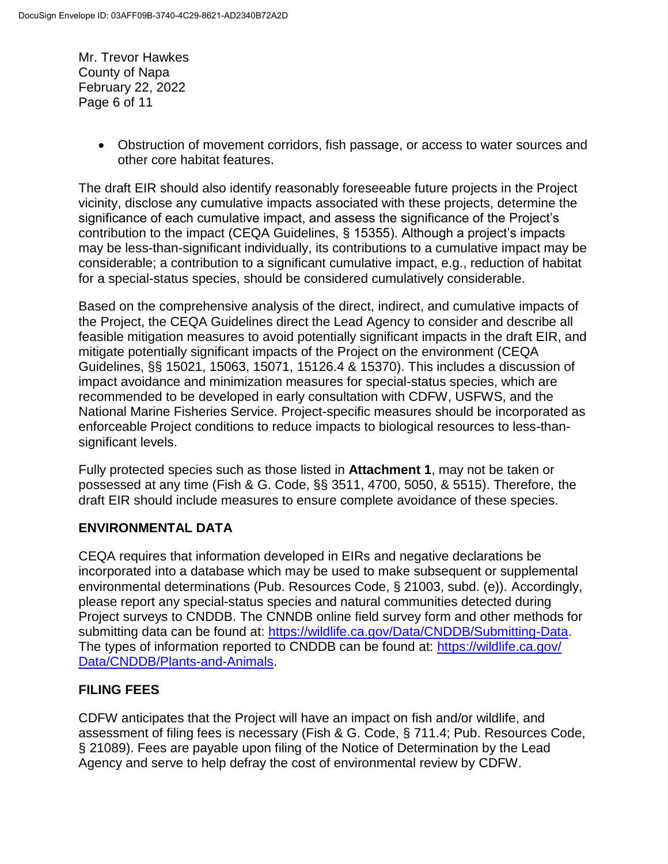Mr. Trevor Hawkes County of Napa February 22, 2022 Page 6 of 11

> Obstruction of movement corridors, fish passage, or access to water sources and other core habitat features.

The draft EIR should also identify reasonably foreseeable future projects in the Project vicinity, disclose any cumulative impacts associated with these projects, determine the significance of each cumulative impact, and assess the significance of the Project's contribution to the impact (CEQA Guidelines, § 15355). Although a project's impacts may be less-than-significant individually, its contributions to a cumulative impact may be considerable; a contribution to a significant cumulative impact, e.g., reduction of habitat for a special-status species, should be considered cumulatively considerable.

Based on the comprehensive analysis of the direct, indirect, and cumulative impacts of the Project, the CEQA Guidelines direct the Lead Agency to consider and describe all feasible mitigation measures to avoid potentially significant impacts in the draft EIR, and mitigate potentially significant impacts of the Project on the environment (CEQA Guidelines, §§ 15021, 15063, 15071, 15126.4 & 15370). This includes a discussion of impact avoidance and minimization measures for special-status species, which are recommended to be developed in early consultation with CDFW, USFWS, and the National Marine Fisheries Service. Project-specific measures should be incorporated as enforceable Project conditions to reduce impacts to biological resources to less-thansignificant levels.

Fully protected species such as those listed in **Attachment 1**, may not be taken or possessed at any time (Fish & G. Code, §§ 3511, 4700, 5050, & 5515). Therefore, the draft EIR should include measures to ensure complete avoidance of these species.

## **ENVIRONMENTAL DATA**

CEQA requires that information developed in EIRs and negative declarations be incorporated into a database which may be used to make subsequent or supplemental environmental determinations (Pub. Resources Code, § 21003, subd. (e)). Accordingly, please report any special-status species and natural communities detected during Project surveys to CNDDB. The CNNDB online field survey form and other methods for submitting data can be found at: [https://wildlife.ca.gov/Data/CNDDB/Submitting-Data.](https://wildlife.ca.gov/Data/CNDDB/Submitting-Data) The types of information reported to CNDDB can be found at: [https://wildlife.ca.gov/](https://wildlife.ca.gov/Data/CNDDB/Plants-and-Animals) [Data/CNDDB/Plants-and-Animals.](https://wildlife.ca.gov/Data/CNDDB/Plants-and-Animals)

## **FILING FEES**

CDFW anticipates that the Project will have an impact on fish and/or wildlife, and assessment of filing fees is necessary (Fish & G. Code, § 711.4; Pub. Resources Code, § 21089). Fees are payable upon filing of the Notice of Determination by the Lead Agency and serve to help defray the cost of environmental review by CDFW.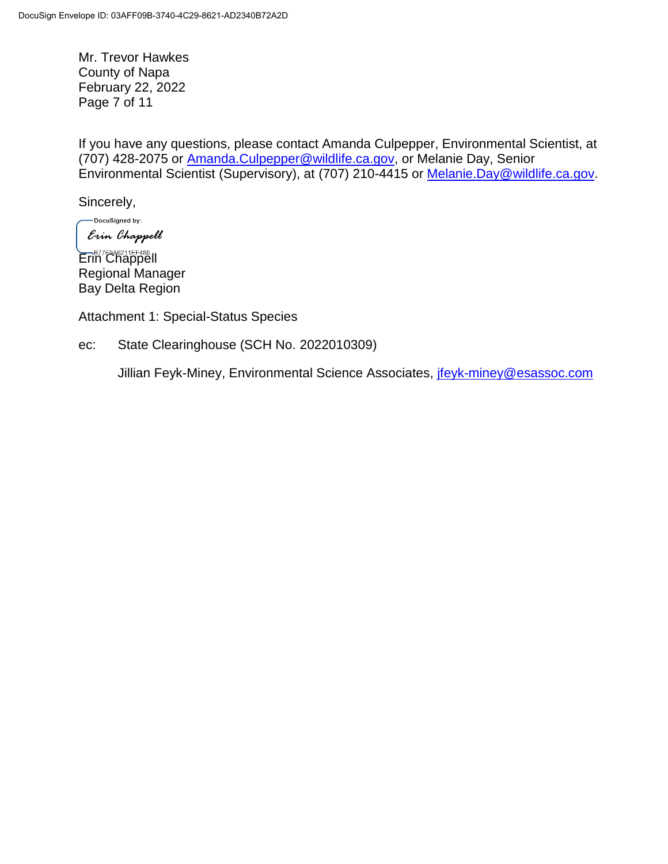Mr. Trevor Hawkes County of Napa February 22, 2022 Page 7 of 11

If you have any questions, please contact Amanda Culpepper, Environmental Scientist, at (707) 428-2075 or [Amanda.Culpepper@wildlife.ca.gov,](mailto:Amanda.Culpepper@wildlife.ca.gov) or Melanie Day, Senior Environmental Scientist (Supervisory), at (707) 210-4415 or [Melanie.Day@wildlife.ca.gov.](mailto:Melanie.Day@wildlife.ca.gov)

Sincerely,

-DocuSigned by: Erin Chappell

Erin Chappell Regional Manager Bay Delta Region

Attachment 1: Special-Status Species

ec: State Clearinghouse (SCH No. 2022010309)

Jillian Feyk-Miney, Environmental Science Associates, [jfeyk-miney@esassoc.com](mailto:jfeyk-miney@esassoc.com)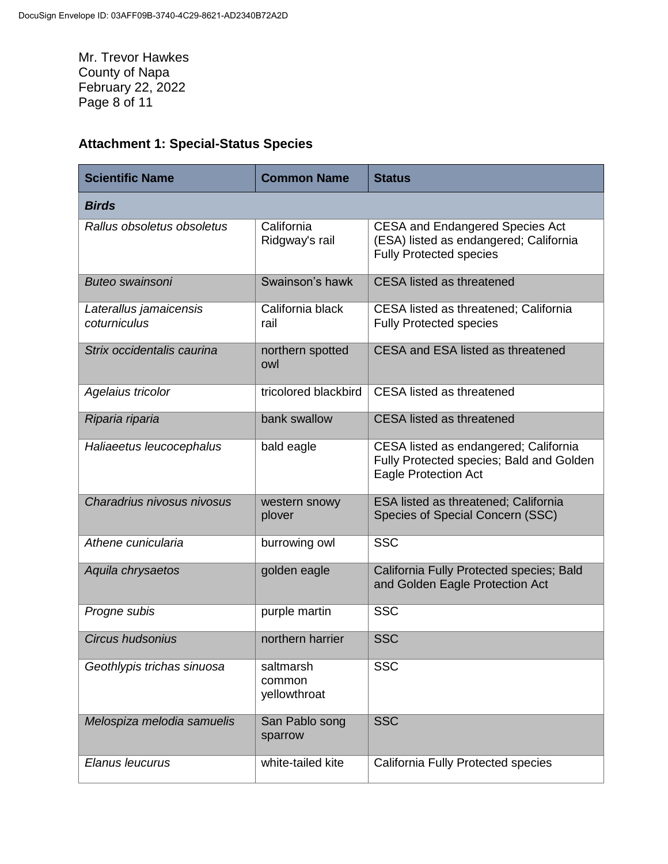Mr. Trevor Hawkes County of Napa February 22, 2022 Page 8 of 11

## **Attachment 1: Special-Status Species**

| <b>Scientific Name</b>                 | <b>Common Name</b>                  | <b>Status</b>                                                                                                      |
|----------------------------------------|-------------------------------------|--------------------------------------------------------------------------------------------------------------------|
| <b>Birds</b>                           |                                     |                                                                                                                    |
| Rallus obsoletus obsoletus             | California<br>Ridgway's rail        | <b>CESA and Endangered Species Act</b><br>(ESA) listed as endangered; California<br><b>Fully Protected species</b> |
| <b>Buteo swainsoni</b>                 | Swainson's hawk                     | <b>CESA</b> listed as threatened                                                                                   |
| Laterallus jamaicensis<br>coturniculus | California black<br>rail            | CESA listed as threatened; California<br><b>Fully Protected species</b>                                            |
| Strix occidentalis caurina             | northern spotted<br>owl             | CESA and ESA listed as threatened                                                                                  |
| Agelaius tricolor                      | tricolored blackbird                | <b>CESA</b> listed as threatened                                                                                   |
| Riparia riparia                        | bank swallow                        | <b>CESA</b> listed as threatened                                                                                   |
| Haliaeetus leucocephalus               | bald eagle                          | CESA listed as endangered; California<br>Fully Protected species; Bald and Golden<br><b>Eagle Protection Act</b>   |
| Charadrius nivosus nivosus             | western snowy<br>plover             | <b>ESA listed as threatened; California</b><br>Species of Special Concern (SSC)                                    |
| Athene cunicularia                     | burrowing owl                       | <b>SSC</b>                                                                                                         |
| Aquila chrysaetos                      | golden eagle                        | California Fully Protected species; Bald<br>and Golden Eagle Protection Act                                        |
| Progne subis                           | purple martin                       | <b>SSC</b>                                                                                                         |
| Circus hudsonius                       | northern harrier                    | <b>SSC</b>                                                                                                         |
| Geothlypis trichas sinuosa             | saltmarsh<br>common<br>yellowthroat | <b>SSC</b>                                                                                                         |
| Melospiza melodia samuelis             | San Pablo song<br>sparrow           | <b>SSC</b>                                                                                                         |
| Elanus leucurus                        | white-tailed kite                   | California Fully Protected species                                                                                 |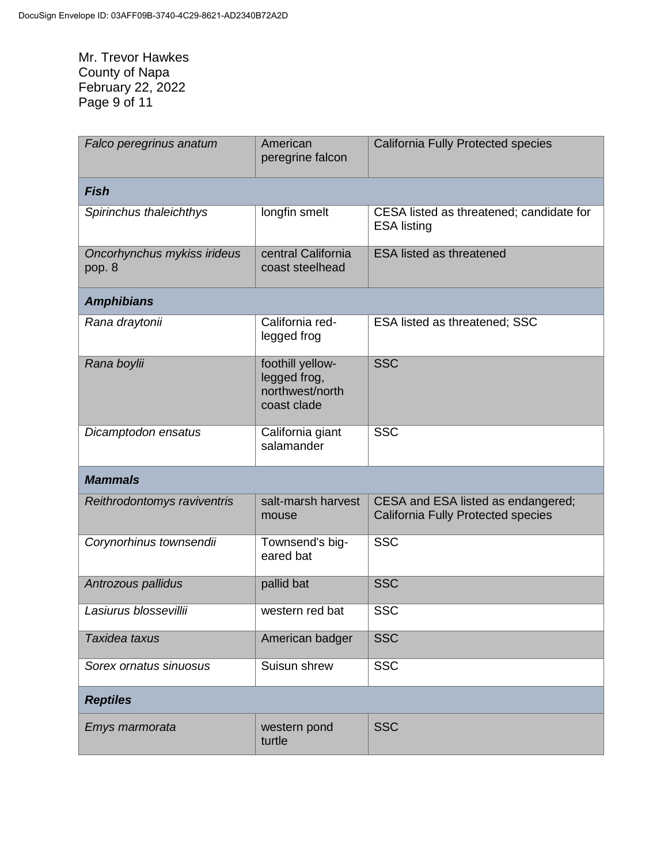Mr. Trevor Hawkes County of Napa February 22, 2022 Page 9 of 11

| Falco peregrinus anatum               | American<br>peregrine falcon                                       | <b>California Fully Protected species</b>                                       |  |  |
|---------------------------------------|--------------------------------------------------------------------|---------------------------------------------------------------------------------|--|--|
| <b>Fish</b>                           |                                                                    |                                                                                 |  |  |
| Spirinchus thaleichthys               | longfin smelt                                                      | CESA listed as threatened; candidate for<br><b>ESA listing</b>                  |  |  |
| Oncorhynchus mykiss irideus<br>pop. 8 | central California<br>coast steelhead                              | <b>ESA listed as threatened</b>                                                 |  |  |
| <b>Amphibians</b>                     |                                                                    |                                                                                 |  |  |
| Rana draytonii                        | California red-<br>legged frog                                     | <b>ESA listed as threatened; SSC</b>                                            |  |  |
| Rana boylii                           | foothill yellow-<br>legged frog,<br>northwest/north<br>coast clade | <b>SSC</b>                                                                      |  |  |
| Dicamptodon ensatus                   | California giant<br>salamander                                     | <b>SSC</b>                                                                      |  |  |
| <b>Mammals</b>                        |                                                                    |                                                                                 |  |  |
| Reithrodontomys raviventris           | salt-marsh harvest<br>mouse                                        | CESA and ESA listed as endangered;<br><b>California Fully Protected species</b> |  |  |
| Corynorhinus townsendii               | Townsend's big-<br>eared bat                                       | <b>SSC</b>                                                                      |  |  |
| Antrozous pallidus                    | pallid bat                                                         | <b>SSC</b>                                                                      |  |  |
| Lasiurus blossevillii                 | western red bat                                                    | <b>SSC</b>                                                                      |  |  |
| Taxidea taxus                         | American badger                                                    | <b>SSC</b>                                                                      |  |  |
| Sorex ornatus sinuosus                | Suisun shrew                                                       | <b>SSC</b>                                                                      |  |  |
| <b>Reptiles</b>                       |                                                                    |                                                                                 |  |  |
| Emys marmorata                        | western pond<br>turtle                                             | <b>SSC</b>                                                                      |  |  |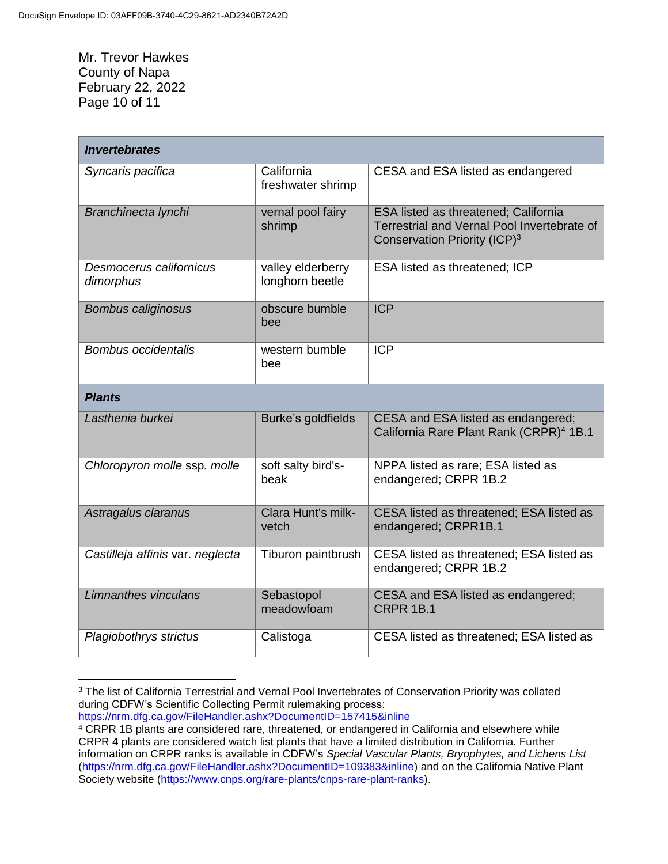Mr. Trevor Hawkes County of Napa February 22, 2022 Page 10 of 11

| <b>Invertebrates</b>                 |                                      |                                                                                                                                        |  |  |
|--------------------------------------|--------------------------------------|----------------------------------------------------------------------------------------------------------------------------------------|--|--|
| Syncaris pacifica                    | California<br>freshwater shrimp      | CESA and ESA listed as endangered                                                                                                      |  |  |
| Branchinecta lynchi                  | vernal pool fairy<br>shrimp          | <b>ESA listed as threatened; California</b><br>Terrestrial and Vernal Pool Invertebrate of<br>Conservation Priority (ICP) <sup>3</sup> |  |  |
| Desmocerus californicus<br>dimorphus | valley elderberry<br>longhorn beetle | ESA listed as threatened; ICP                                                                                                          |  |  |
| <b>Bombus caliginosus</b>            | obscure bumble<br>bee                | ICP                                                                                                                                    |  |  |
| <b>Bombus occidentalis</b>           | western bumble<br>bee                | <b>ICP</b>                                                                                                                             |  |  |
| <b>Plants</b>                        |                                      |                                                                                                                                        |  |  |
| Lasthenia burkei                     | Burke's goldfields                   | CESA and ESA listed as endangered;<br>California Rare Plant Rank (CRPR) <sup>4</sup> 1B.1                                              |  |  |
| Chloropyron molle ssp. molle         | soft salty bird's-<br>beak           | NPPA listed as rare; ESA listed as<br>endangered; CRPR 1B.2                                                                            |  |  |
| Astragalus claranus                  | Clara Hunt's milk-<br>vetch          | CESA listed as threatened; ESA listed as<br>endangered; CRPR1B.1                                                                       |  |  |
| Castilleja affinis var. neglecta     | Tiburon paintbrush                   | CESA listed as threatened; ESA listed as<br>endangered; CRPR 1B.2                                                                      |  |  |
| Limnanthes vinculans                 | Sebastopol<br>meadowfoam             | CESA and ESA listed as endangered;<br><b>CRPR 1B.1</b>                                                                                 |  |  |
| Plagiobothrys strictus               | Calistoga                            | CESA listed as threatened; ESA listed as                                                                                               |  |  |

 $\overline{a}$ <sup>3</sup> The list of California Terrestrial and Vernal Pool Invertebrates of Conservation Priority was collated during CDFW's Scientific Collecting Permit rulemaking process:

<https://nrm.dfg.ca.gov/FileHandler.ashx?DocumentID=157415&inline>

<sup>4</sup> CRPR 1B plants are considered rare, threatened, or endangered in California and elsewhere while CRPR 4 plants are considered watch list plants that have a limited distribution in California. Further information on CRPR ranks is available in CDFW's *Special Vascular Plants, Bryophytes, and Lichens List* [\(https://nrm.dfg.ca.gov/FileHandler.ashx?DocumentID=109383&inline\)](https://nrm.dfg.ca.gov/FileHandler.ashx?DocumentID=109383&inline) and on the California Native Plant Society website [\(https://www.cnps.org/rare-plants/cnps-rare-plant-ranks\)](https://www.cnps.org/rare-plants/cnps-rare-plant-ranks).